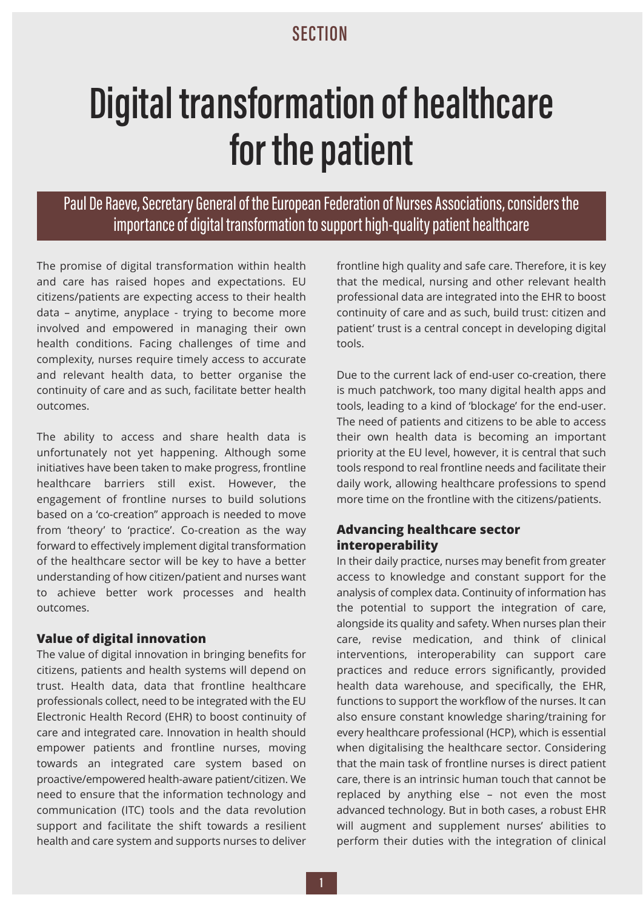# **SECTION**

# **Digital transformation of healthcare**

**for the patient**  Paul De Raeve, Secretary General of the European Federation of Nurses Associations, considers the importance of digital transformation to support high-quality patient healthcare

The promise of digital transformation within health and care has raised hopes and expectations. EU citizens/patients are expecting access to their health data – anytime, anyplace - trying to become more involved and empowered in managing their own health conditions. Facing challenges of time and complexity, nurses require timely access to accurate and relevant health data, to better organise the continuity of care and as such, facilitate better health outcomes.

The ability to access and share health data is unfortunately not yet happening. Although some initiatives have been taken to make progress, frontline healthcare barriers still exist. However, the engagement of frontline nurses to build solutions based on a 'co-creation" approach is needed to move from 'theory' to 'practice'. Co-creation as the way forward to effectively implement digital transformation of the healthcare sector will be key to have a better understanding of how citizen/patient and nurses want to achieve better work processes and health outcomes.

### **Value of digital innovation**

The value of digital innovation in bringing benefits for citizens, patients and health systems will depend on trust. Health data, data that frontline healthcare professionals collect, need to be integrated with the EU Electronic Health Record (EHR) to boost continuity of care and integrated care. Innovation in health should empower patients and frontline nurses, moving towards an integrated care system based on proactive/empowered health-aware patient/citizen. We need to ensure that the information technology and communication (ITC) tools and the data revolution support and facilitate the shift towards a resilient health and care system and supports nurses to deliver

frontline high quality and safe care. Therefore, it is key that the medical, nursing and other relevant health professional data are integrated into the EHR to boost continuity of care and as such, build trust: citizen and patient' trust is a central concept in developing digital tools.

Due to the current lack of end-user co-creation, there is much patchwork, too many digital health apps and tools, leading to a kind of 'blockage' for the end-user. The need of patients and citizens to be able to access their own health data is becoming an important priority at the EU level, however, it is central that such tools respond to real frontline needs and facilitate their daily work, allowing healthcare professions to spend more time on the frontline with the citizens/patients.

# **Advancing healthcare sector interoperability**

In their daily practice, nurses may benefit from greater access to knowledge and constant support for the analysis of complex data. Continuity of information has the potential to support the integration of care, alongside its quality and safety. When nurses plan their care, revise medication, and think of clinical interventions, interoperability can support care practices and reduce errors significantly, provided health data warehouse, and specifically, the EHR, functions to support the workflow of the nurses. It can also ensure constant knowledge sharing/training for every healthcare professional (HCP), which is essential when digitalising the healthcare sector. Considering that the main task of frontline nurses is direct patient care, there is an intrinsic human touch that cannot be replaced by anything else – not even the most advanced technology. But in both cases, a robust EHR will augment and supplement nurses' abilities to perform their duties with the integration of clinical